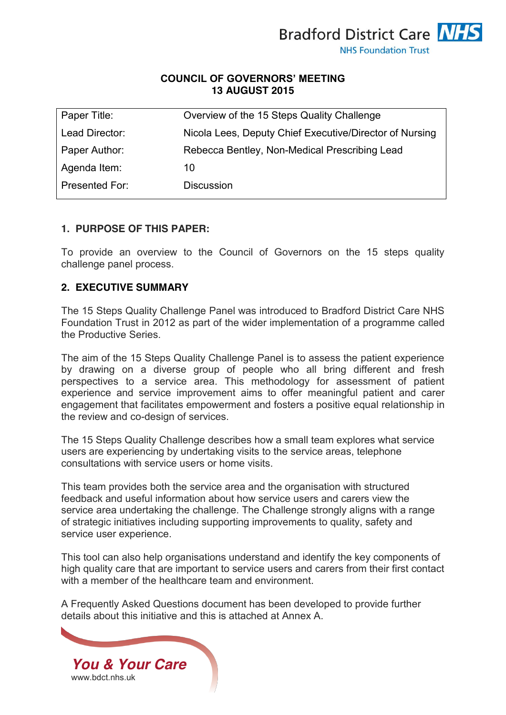

### **COUNCIL OF GOVERNORS' MEETING 13 AUGUST 2015**

| Paper Title:   | Overview of the 15 Steps Quality Challenge              |
|----------------|---------------------------------------------------------|
| Lead Director: | Nicola Lees, Deputy Chief Executive/Director of Nursing |
| Paper Author:  | Rebecca Bentley, Non-Medical Prescribing Lead           |
| Agenda Item:   | 10                                                      |
| Presented For: | <b>Discussion</b>                                       |
|                |                                                         |

#### **1. PURPOSE OF THIS PAPER:**

To provide an overview to the Council of Governors on the 15 steps quality challenge panel process.

### **2. EXECUTIVE SUMMARY**

The 15 Steps Quality Challenge Panel was introduced to Bradford District Care NHS Foundation Trust in 2012 as part of the wider implementation of a programme called the Productive Series.

The aim of the 15 Steps Quality Challenge Panel is to assess the patient experience by drawing on a diverse group of people who all bring different and fresh perspectives to a service area. This methodology for assessment of patient experience and service improvement aims to offer meaningful patient and carer engagement that facilitates empowerment and fosters a positive equal relationship in the review and co-design of services.

The 15 Steps Quality Challenge describes how a small team explores what service users are experiencing by undertaking visits to the service areas, telephone consultations with service users or home visits.

This team provides both the service area and the organisation with structured feedback and useful information about how service users and carers view the service area undertaking the challenge. The Challenge strongly aligns with a range of strategic initiatives including supporting improvements to quality, safety and service user experience.

This tool can also help organisations understand and identify the key components of high quality care that are important to service users and carers from their first contact with a member of the healthcare team and environment.

A Frequently Asked Questions document has been developed to provide further details about this initiative and this is attached at Annex A.